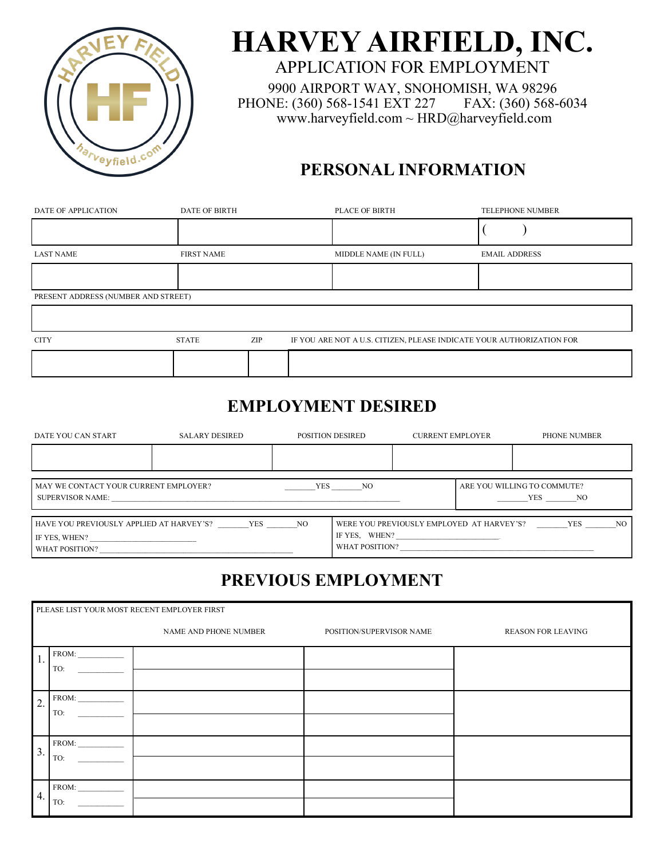

# **HARVEY AIRFIELD, INC.**

APPLICATION FOR EMPLOYMENT 9900 AIRPORT WAY, SNOHOMISH, WA 98296 PHONE: (360) 568-1541 EXT 227 FAX: (360) 568-6034 www.harveyfield.com ~ HRD@harveyfield.com

## **PERSONAL INFORMATION**

| DATE OF APPLICATION                 | <b>DATE OF BIRTH</b> |     | PLACE OF BIRTH                                                        |                      | <b>TELEPHONE NUMBER</b> |
|-------------------------------------|----------------------|-----|-----------------------------------------------------------------------|----------------------|-------------------------|
|                                     |                      |     |                                                                       |                      |                         |
| <b>LAST NAME</b>                    | <b>FIRST NAME</b>    |     | MIDDLE NAME (IN FULL)                                                 | <b>EMAIL ADDRESS</b> |                         |
|                                     |                      |     |                                                                       |                      |                         |
| PRESENT ADDRESS (NUMBER AND STREET) |                      |     |                                                                       |                      |                         |
|                                     |                      |     |                                                                       |                      |                         |
| <b>CITY</b>                         | <b>STATE</b>         | ZIP | IF YOU ARE NOT A U.S. CITIZEN, PLEASE INDICATE YOUR AUTHORIZATION FOR |                      |                         |
|                                     |                      |     |                                                                       |                      |                         |

## **EMPLOYMENT DESIRED**

| DATE YOU CAN START                                                          | SALARY DESIRED   |     | POSITION DESIRED | <b>CURRENT EMPLOYER</b>                                    | <b>PHONE NUMBER</b>                   |     |
|-----------------------------------------------------------------------------|------------------|-----|------------------|------------------------------------------------------------|---------------------------------------|-----|
|                                                                             |                  |     |                  |                                                            |                                       |     |
| MAY WE CONTACT YOUR CURRENT EMPLOYER?                                       | SUPERVISOR NAME: | YES | NO <sub>N</sub>  |                                                            | ARE YOU WILLING TO COMMUTE?<br>YES NO |     |
| HAVE YOU PREVIOUSLY APPLIED AT HARVEY'S?<br>IF YES, WHEN?<br>WHAT POSITION? | <b>YES</b>       | NO  | WHAT POSITION?   | WERE YOU PREVIOUSLY EMPLOYED AT HARVEY'S?<br>IF YES, WHEN? | YES                                   | NO. |

# **PREVIOUS EMPLOYMENT**

|                   |              | PLEASE LIST YOUR MOST RECENT EMPLOYER FIRST |                          |                           |
|-------------------|--------------|---------------------------------------------|--------------------------|---------------------------|
|                   |              | NAME AND PHONE NUMBER                       | POSITION/SUPERVISOR NAME | <b>REASON FOR LEAVING</b> |
| 1.                | FROM:<br>TO: |                                             |                          |                           |
| $\overline{2}$ .  | FROM:<br>TO: |                                             |                          |                           |
| $\overline{3}$ .  | FROM:<br>TO: |                                             |                          |                           |
| $\mathbf{1}_{4.}$ | FROM:<br>TO: |                                             |                          |                           |